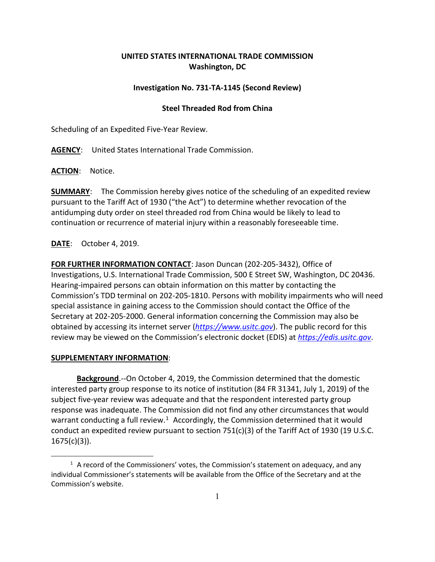## **UNITED STATES INTERNATIONAL TRADE COMMISSION Washington, DC**

## **Investigation No. 731-TA-1145 (Second Review)**

## **Steel Threaded Rod from China**

Scheduling of an Expedited Five-Year Review.

**AGENCY**: United States International Trade Commission.

**ACTION**: Notice.

**SUMMARY**: The Commission hereby gives notice of the scheduling of an expedited review pursuant to the Tariff Act of 1930 ("the Act") to determine whether revocation of the antidumping duty order on steel threaded rod from China would be likely to lead to continuation or recurrence of material injury within a reasonably foreseeable time.

**DATE**: October 4, 2019.

**FOR FURTHER INFORMATION CONTACT**: Jason Duncan (202-205-3432), Office of Investigations, U.S. International Trade Commission, 500 E Street SW, Washington, DC 20436. Hearing-impaired persons can obtain information on this matter by contacting the Commission's TDD terminal on 202-205-1810. Persons with mobility impairments who will need special assistance in gaining access to the Commission should contact the Office of the Secretary at 202-205-2000. General information concerning the Commission may also be obtained by accessing its internet server (*[https://www.usitc.gov](https://www.usitc.gov/)*). The public record for this review may be viewed on the Commission's electronic docket (EDIS) at *[https://edis.usitc.gov](https://edis.usitc.gov/)*.

## **SUPPLEMENTARY INFORMATION**:

 $\overline{a}$ 

**Background**.--On October 4, 2019, the Commission determined that the domestic interested party group response to its notice of institution (84 FR 31341, July 1, 2019) of the subject five-year review was adequate and that the respondent interested party group response was inadequate. The Commission did not find any other circumstances that would warrant conducting a full review.<sup>[1](#page-0-0)</sup> Accordingly, the Commission determined that it would conduct an expedited review pursuant to section 751(c)(3) of the Tariff Act of 1930 (19 U.S.C.  $1675(c)(3)$ ).

<span id="page-0-0"></span> $<sup>1</sup>$  A record of the Commissioners' votes, the Commission's statement on adequacy, and any</sup> individual Commissioner's statements will be available from the Office of the Secretary and at the Commission's website.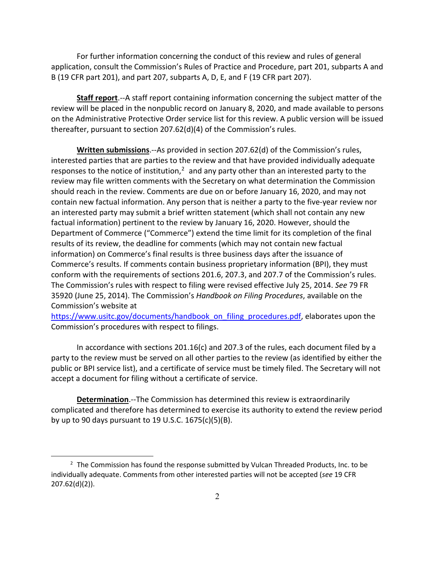For further information concerning the conduct of this review and rules of general application, consult the Commission's Rules of Practice and Procedure, part 201, subparts A and B (19 CFR part 201), and part 207, subparts A, D, E, and F (19 CFR part 207).

**Staff report**.--A staff report containing information concerning the subject matter of the review will be placed in the nonpublic record on January 8, 2020, and made available to persons on the Administrative Protective Order service list for this review. A public version will be issued thereafter, pursuant to section 207.62(d)(4) of the Commission's rules.

**Written submissions**.--As provided in section 207.62(d) of the Commission's rules, interested parties that are parties to the review and that have provided individually adequate responses to the notice of institution, $<sup>2</sup>$  $<sup>2</sup>$  $<sup>2</sup>$  and any party other than an interested party to the</sup> review may file written comments with the Secretary on what determination the Commission should reach in the review. Comments are due on or before January 16, 2020, and may not contain new factual information. Any person that is neither a party to the five-year review nor an interested party may submit a brief written statement (which shall not contain any new factual information) pertinent to the review by January 16, 2020. However, should the Department of Commerce ("Commerce") extend the time limit for its completion of the final results of its review, the deadline for comments (which may not contain new factual information) on Commerce's final results is three business days after the issuance of Commerce's results. If comments contain business proprietary information (BPI), they must conform with the requirements of sections 201.6, 207.3, and 207.7 of the Commission's rules. The Commission's rules with respect to filing were revised effective July 25, 2014. *See* 79 FR 35920 (June 25, 2014). The Commission's *Handbook on Filing Procedures*, available on the Commission's website at

[https://www.usitc.gov/documents/handbook\\_on\\_filing\\_procedures.pdf,](https://www.usitc.gov/documents/handbook_on_filing_procedures.pdf) elaborates upon the Commission's procedures with respect to filings.

In accordance with sections 201.16(c) and 207.3 of the rules, each document filed by a party to the review must be served on all other parties to the review (as identified by either the public or BPI service list), and a certificate of service must be timely filed. The Secretary will not accept a document for filing without a certificate of service.

**Determination**.--The Commission has determined this review is extraordinarily complicated and therefore has determined to exercise its authority to extend the review period by up to 90 days pursuant to 19 U.S.C. 1675(c)(5)(B).

 $\overline{a}$ 

<span id="page-1-0"></span><sup>&</sup>lt;sup>2</sup> The Commission has found the response submitted by Vulcan Threaded Products, Inc. to be individually adequate. Comments from other interested parties will not be accepted (*see* 19 CFR 207.62(d)(2)).